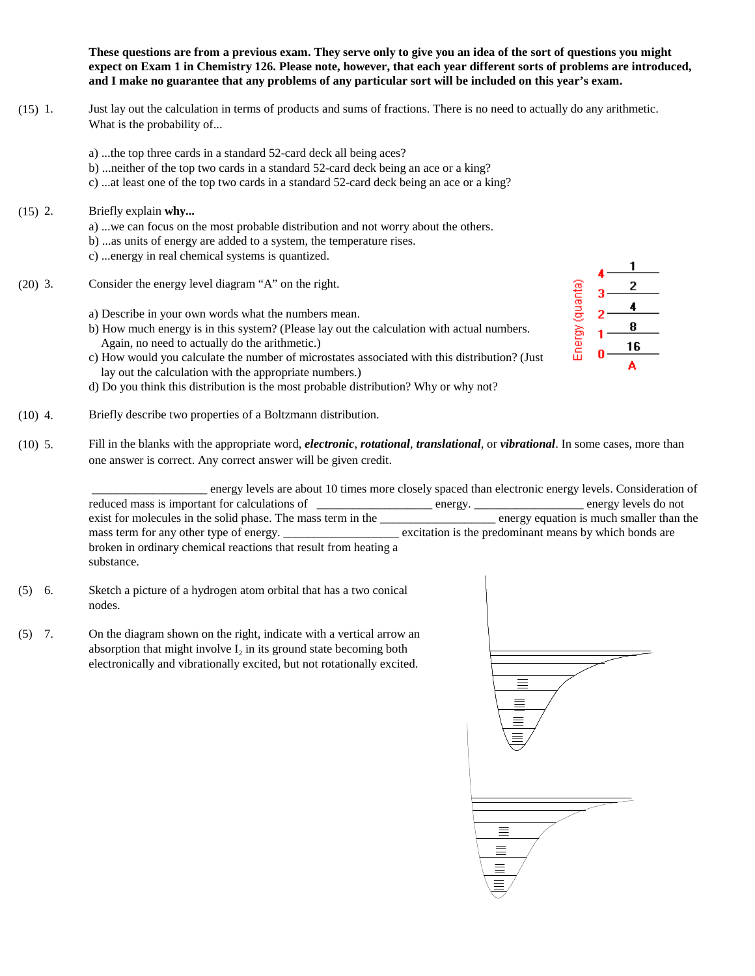These questions are from a previous exam. They serve only to give you an idea of the sort of questions you might expect on Exam 1 in Chemistry 126. Please note, however, that each year different sorts of problems are introduced, and I make no guarantee that any problems of any particular sort will be included on this year's exam.

- (15) 1. Just lay out the calculation in terms of products and sums of fractions. There is no need to actually do any arithmetic. What is the probability of...
	- a) ...the top three cards in a standard 52-card deck all being aces?
	- b) ...neither of the top two cards in a standard 52-card deck being an ace or a king?
	- c) ...at least one of the top two cards in a standard 52-card deck being an ace or a king?
- (15) 2. Briefly explain **why...**
	- a) ...we can focus on the most probable distribution and not worry about the others. b) ...as units of energy are added to a system, the temperature rises. c) ...energy in real chemical systems is quantized.
- (20) 3. Consider the energy level diagram "A" on the right.
	- a) Describe in your own words what the numbers mean.
	- b) How much energy is in this system? (Please lay out the calculation with actual numbers. Again, no need to actually do the arithmetic.)
	- c) How would you calculate the number of microstates associated with this distribution? (Just lay out the calculation with the appropriate numbers.)
	- d) Do you think this distribution is the most probable distribution? Why or why not?
- (10) 4. Briefly describe two properties of a Boltzmann distribution.
- (10) 5. Fill in the blanks with the appropriate word, *electronic*, *rotational*, *translational*, or *vibrational*. In some cases, more than one answer is correct. Any correct answer will be given credit.

\_\_\_\_\_\_\_\_\_\_\_\_\_\_\_\_\_\_\_ energy levels are about 10 times more closely spaced than electronic energy levels. Consideration of reduced mass is important for calculations of \_\_\_\_\_\_\_\_\_\_\_\_\_\_\_\_\_\_\_\_\_ energy. \_\_\_\_\_\_\_\_\_\_\_\_\_\_\_\_\_\_ energy levels do not exist for molecules in the solid phase. The mass term in the \_\_\_\_\_\_\_\_\_\_\_\_\_\_\_\_\_\_\_ energy equation is much smaller than the mass term for any other type of energy. \_\_\_\_\_\_\_\_\_\_\_\_\_\_\_\_\_\_\_ excitation is the predominant means by which bonds are broken in ordinary chemical reactions that result from heating a substance.

- (5) 6. Sketch a picture of a hydrogen atom orbital that has a two conical nodes.
- (5) 7. On the diagram shown on the right, indicate with a vertical arrow an absorption that might involve  $I_2$  in its ground state becoming both electronically and vibrationally excited, but not rotationally excited.



Energy (quanta)

8 16 A